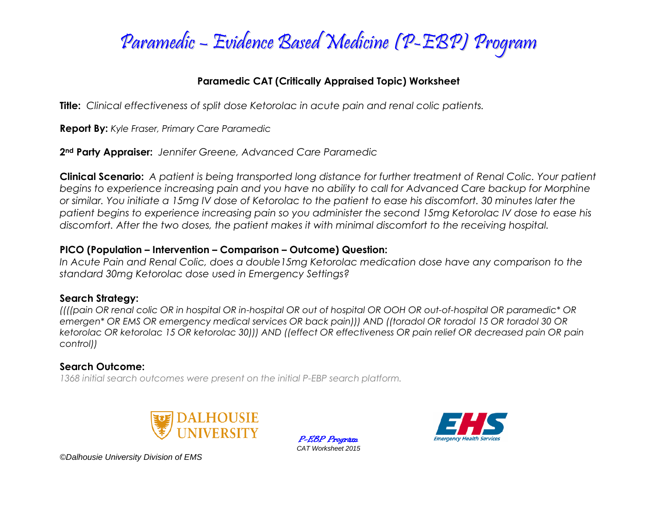

#### **Paramedic CAT (Critically Appraised Topic) Worksheet**

**Title:** *Clinical effectiveness of split dose Ketorolac in acute pain and renal colic patients.*

**Report By:** *Kyle Fraser, Primary Care Paramedic*

**2nd Party Appraiser:** *Jennifer Greene, Advanced Care Paramedic*

**Clinical Scenario:** *A patient is being transported long distance for further treatment of Renal Colic. Your patient begins to experience increasing pain and you have no ability to call for Advanced Care backup for Morphine or similar. You initiate a 15mg IV dose of Ketorolac to the patient to ease his discomfort. 30 minutes later the patient begins to experience increasing pain so you administer the second 15mg Ketorolac IV dose to ease his discomfort. After the two doses, the patient makes it with minimal discomfort to the receiving hospital.* 

#### **PICO (Population – Intervention – Comparison – Outcome) Question:**

*In Acute Pain and Renal Colic, does a double15mg Ketorolac medication dose have any comparison to the standard 30mg Ketorolac dose used in Emergency Settings?* 

## **Search Strategy:**

*((((pain OR renal colic OR in hospital OR in-hospital OR out of hospital OR OOH OR out-of-hospital OR paramedic\* OR emergen\* OR EMS OR emergency medical services OR back pain))) AND ((toradol OR toradol 15 OR toradol 30 OR ketorolac OR ketorolac 15 OR ketorolac 30))) AND ((effect OR effectiveness OR pain relief OR decreased pain OR pain control))*

> P-EBP Program *CAT Worksheet 2015*

## **Search Outcome:**

*1368 initial search outcomes were present on the initial P-EBP search platform.*





*©Dalhousie University Division of EMS*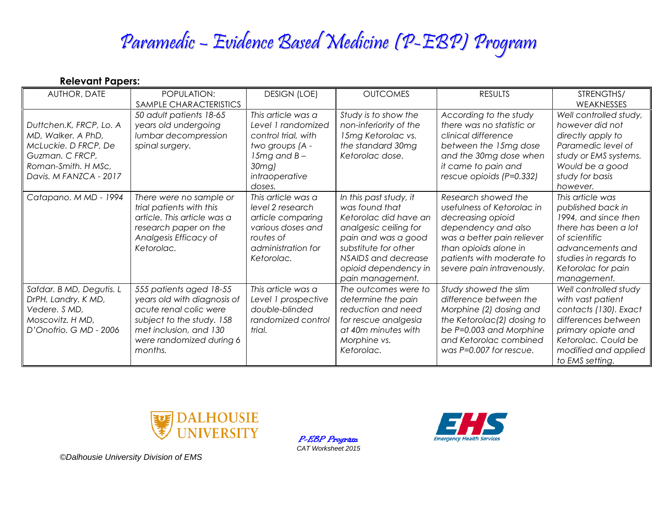# Paramedic – Evidence Based Medicine (P-EBP) Program

| <b>Relevant Papers:</b> |  |
|-------------------------|--|
|-------------------------|--|

| AUTHOR, DATE                                                                                                                              | POPULATION:                                                                                                                                                                    | <b>DESIGN (LOE)</b>                                                                                                                              | <b>OUTCOMES</b>                                                                                                                                                                                              | <b>RESULTS</b>                                                                                                                                                                                                  | STRENGTHS/                                                                                                                                                                               |
|-------------------------------------------------------------------------------------------------------------------------------------------|--------------------------------------------------------------------------------------------------------------------------------------------------------------------------------|--------------------------------------------------------------------------------------------------------------------------------------------------|--------------------------------------------------------------------------------------------------------------------------------------------------------------------------------------------------------------|-----------------------------------------------------------------------------------------------------------------------------------------------------------------------------------------------------------------|------------------------------------------------------------------------------------------------------------------------------------------------------------------------------------------|
|                                                                                                                                           | SAMPLE CHARACTERISTICS                                                                                                                                                         |                                                                                                                                                  |                                                                                                                                                                                                              |                                                                                                                                                                                                                 | WEAKNESSES                                                                                                                                                                               |
| Duttchen.K, FRCP, Lo. A<br>MD, Walker. A PhD,<br>McLuckie. D FRCP, De<br>Guzman. C FRCP,<br>Roman-Smith. H MSc,<br>Davis. M FANZCA - 2017 | 50 adult patients 18-65<br>years old undergoing<br>lumbar decompression<br>spinal surgery.                                                                                     | This article was a<br>Level 1 randomized<br>control trial, with<br>two groups (A -<br>15 $mg$ and B -<br>$30$ mg $)$<br>intraoperative<br>doses. | Study is to show the<br>non-inferiority of the<br>15mg Ketorolac vs.<br>the standard 30mg<br>Ketorolac dose.                                                                                                 | According to the study<br>there was no statistic or<br>clinical difference<br>between the 15mg dose<br>and the 30mg dose when<br>it came to pain and<br>rescue opioids (P=0.332)                                | Well controlled study,<br>however did not<br>directly apply to<br>Paramedic level of<br>study or EMS systems.<br>Would be a good<br>study for basis<br>however.                          |
| Catapano. M MD - 1994                                                                                                                     | There were no sample or<br>trial patients with this<br>article. This article was a<br>research paper on the<br>Analgesis Efficacy of<br>Ketorolac.                             | This article was a<br>level 2 research<br>article comparing<br>various doses and<br>routes of<br>administration for<br>Ketorolac.                | In this past study, it<br>was found that<br>Ketorolac did have an<br>analgesic ceiling for<br>pain and was a good<br>substitute for other<br>NSAIDS and decrease<br>opioid dependency in<br>pain management. | Research showed the<br>usefulness of Ketorolac in<br>decreasing opioid<br>dependency and also<br>was a better pain reliever<br>than opioids alone in<br>patients with moderate to<br>severe pain intravenously. | This article was<br>published back in<br>1994, and since then<br>there has been a lot<br>of scientific<br>advancements and<br>studies in regards to<br>Ketorolac for pain<br>management. |
| Safdar. B MD, Degutis. L<br>DrPH, Landry. K MD,<br>Vedere. S MD,<br>Moscovitz. H MD,<br>D'Onofrio. G MD - 2006                            | 555 patients aged 18-55<br>years old with diagnosis of<br>acute renal colic were<br>subject to the study. 158<br>met inclusion, and 130<br>were randomized during 6<br>months. | This article was a<br>Level 1 prospective<br>double-blinded<br>randomized control<br>trial.                                                      | The outcomes were to<br>determine the pain<br>reduction and need<br>for rescue analgesia<br>at 40m minutes with<br>Morphine vs.<br>Ketorolac.                                                                | Study showed the slim<br>difference between the<br>Morphine (2) dosing and<br>the Ketorolac(2) dosing to<br>be P=0.003 and Morphine<br>and Ketorolac combined<br>was P=0.007 for rescue.                        | Well controlled study<br>with vast patient<br>contacts (130). Exact<br>differences between<br>primary opiate and<br>Ketorolac. Could be<br>modified and applied<br>to EMS setting.       |



P-EBP Program *CAT Worksheet 2015*



*©Dalhousie University Division of EMS*